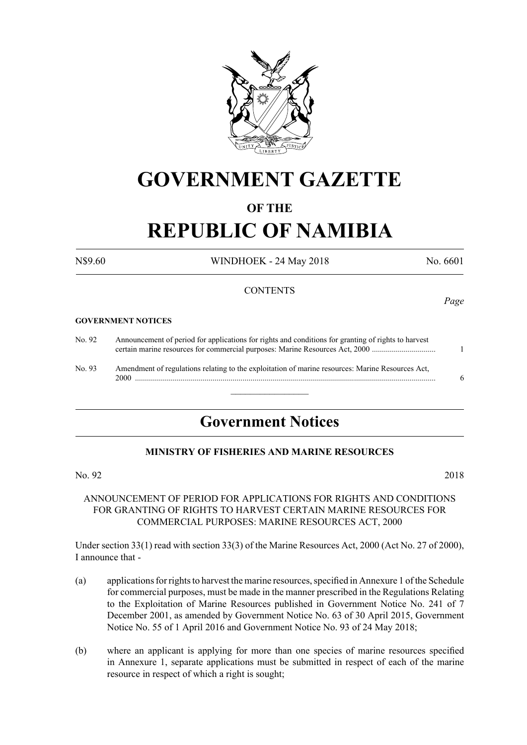

## **GOVERNMENT GAZETTE**

#### **OF THE**

# **REPUBLIC OF NAMIBIA**

N\$9.60 WINDHOEK - 24 May 2018 No. 6601

#### **CONTENTS**

#### **GOVERNMENT NOTICES**

| No. 92 | Announcement of period for applications for rights and conditions for granting of rights to harvest      |  |
|--------|----------------------------------------------------------------------------------------------------------|--|
| No. 93 | Amendment of regulations relating to the exploitation of marine resources: Marine Resources Act,<br>2000 |  |

### **Government Notices**

#### **MINISTRY OF FISHERIES AND MARINE RESOURCES**

#### No. 92 2018

#### ANNOUNCEMENT OF PERIOD FOR APPLICATIONS FOR RIGHTS AND CONDITIONS FOR GRANTING OF RIGHTS TO HARVEST CERTAIN MARINE RESOURCES FOR COMMERCIAL PURPOSES: MARINE RESOURCES ACT, 2000

Under section 33(1) read with section 33(3) of the Marine Resources Act, 2000 (Act No. 27 of 2000), I announce that -

- (a) applications for rights to harvest the marine resources, specified in Annexure 1 of the Schedule for commercial purposes, must be made in the manner prescribed in the Regulations Relating to the Exploitation of Marine Resources published in Government Notice No. 241 of 7 December 2001, as amended by Government Notice No. 63 of 30 April 2015, Government Notice No. 55 of 1 April 2016 and Government Notice No. 93 of 24 May 2018;
- (b) where an applicant is applying for more than one species of marine resources specified in Annexure 1, separate applications must be submitted in respect of each of the marine resource in respect of which a right is sought;

*Page*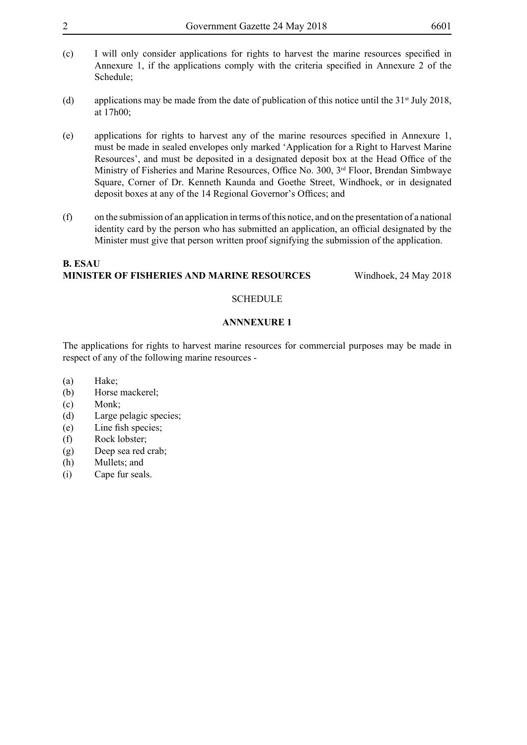| Government Gazette 24 May 2018 |  |
|--------------------------------|--|
|                                |  |

- 
- (c) I will only consider applications for rights to harvest the marine resources specified in Annexure 1, if the applications comply with the criteria specified in Annexure 2 of the Schedule;
- (d) applications may be made from the date of publication of this notice until the  $31<sup>st</sup>$  July 2018, at 17h00;
- (e) applications for rights to harvest any of the marine resources specified in Annexure 1, must be made in sealed envelopes only marked 'Application for a Right to Harvest Marine Resources', and must be deposited in a designated deposit box at the Head Office of the Ministry of Fisheries and Marine Resources, Office No. 300, 3<sup>rd</sup> Floor, Brendan Simbwaye Square, Corner of Dr. Kenneth Kaunda and Goethe Street, Windhoek, or in designated deposit boxes at any of the 14 Regional Governor's Offices; and
- (f) on the submission of an application in terms of this notice, and on the presentation of a national identity card by the person who has submitted an application, an official designated by the Minister must give that person written proof signifying the submission of the application.

#### **B. ESAU MINISTER OF FISHERIES AND MARINE RESOURCES** Windhoek, 24 May 2018

#### **SCHEDULE**

#### **ANNNEXURE 1**

The applications for rights to harvest marine resources for commercial purposes may be made in respect of any of the following marine resources -

- (a) Hake;
- (b) Horse mackerel;
- (c) Monk;
- (d) Large pelagic species;
- (e) Line fish species;
- (f) Rock lobster;
- (g) Deep sea red crab;
- (h) Mullets; and
- (i) Cape fur seals.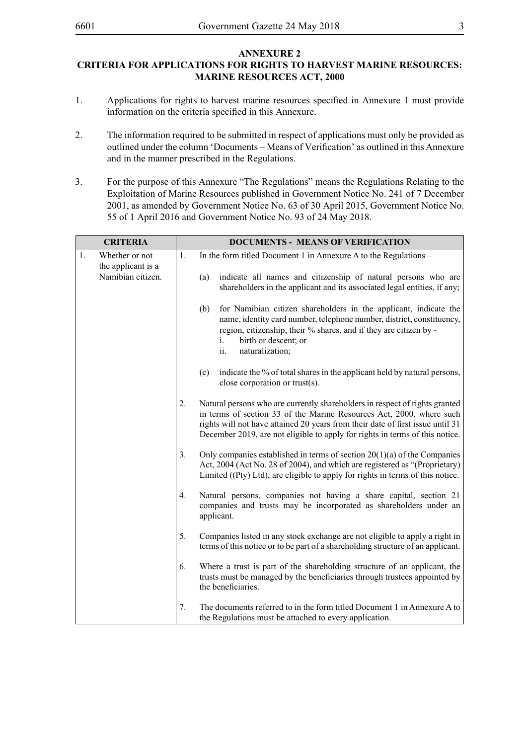#### **ANNEXURE 2 CRITERIA FOR APPLICATIONS FOR RIGHTS TO HARVEST MARINE RESOURCES: MARINE RESOURCES ACT, 2000**

- 1. Applications for rights to harvest marine resources specified in Annexure 1 must provide information on the criteria specified in this Annexure.
- 2. The information required to be submitted in respect of applications must only be provided as outlined under the column 'Documents – Means of Verification' as outlined in this Annexure and in the manner prescribed in the Regulations.
- 3. For the purpose of this Annexure "The Regulations" means the Regulations Relating to the Exploitation of Marine Resources published in Government Notice No. 241 of 7 December 2001, as amended by Government Notice No. 63 of 30 April 2015, Government Notice No. 55 of 1 April 2016 and Government Notice No. 93 of 24 May 2018.

|    | <b>CRITERIA</b>                      |    | <b>DOCUMENTS - MEANS OF VERIFICATION</b>                                                                                                                                                                                                                                                                              |
|----|--------------------------------------|----|-----------------------------------------------------------------------------------------------------------------------------------------------------------------------------------------------------------------------------------------------------------------------------------------------------------------------|
| 1. | Whether or not<br>the applicant is a | 1. | In the form titled Document 1 in Annexure A to the Regulations –                                                                                                                                                                                                                                                      |
|    | Namibian citizen.                    |    | indicate all names and citizenship of natural persons who are<br>(a)<br>shareholders in the applicant and its associated legal entities, if any;                                                                                                                                                                      |
|    |                                      |    | (b)<br>for Namibian citizen shareholders in the applicant, indicate the<br>name, identity card number, telephone number, district, constituency,<br>region, citizenship, their % shares, and if they are citizen by -<br>birth or descent; or<br>Ĺ.<br>ii.<br>naturalization;                                         |
|    |                                      |    | indicate the % of total shares in the applicant held by natural persons,<br>(c)<br>close corporation or trust(s).                                                                                                                                                                                                     |
|    |                                      | 2. | Natural persons who are currently shareholders in respect of rights granted<br>in terms of section 33 of the Marine Resources Act, 2000, where such<br>rights will not have attained 20 years from their date of first issue until 31<br>December 2019, are not eligible to apply for rights in terms of this notice. |
|    |                                      | 3. | Only companies established in terms of section $20(1)(a)$ of the Companies<br>Act, 2004 (Act No. 28 of 2004), and which are registered as "(Proprietary)<br>Limited ((Pty) Ltd), are eligible to apply for rights in terms of this notice.                                                                            |
|    |                                      | 4. | Natural persons, companies not having a share capital, section 21<br>companies and trusts may be incorporated as shareholders under an<br>applicant.                                                                                                                                                                  |
|    |                                      | 5. | Companies listed in any stock exchange are not eligible to apply a right in<br>terms of this notice or to be part of a shareholding structure of an applicant.                                                                                                                                                        |
|    |                                      | 6. | Where a trust is part of the shareholding structure of an applicant, the<br>trusts must be managed by the beneficiaries through trustees appointed by<br>the beneficiaries.                                                                                                                                           |
|    |                                      | 7. | The documents referred to in the form titled Document 1 in Annexure A to<br>the Regulations must be attached to every application.                                                                                                                                                                                    |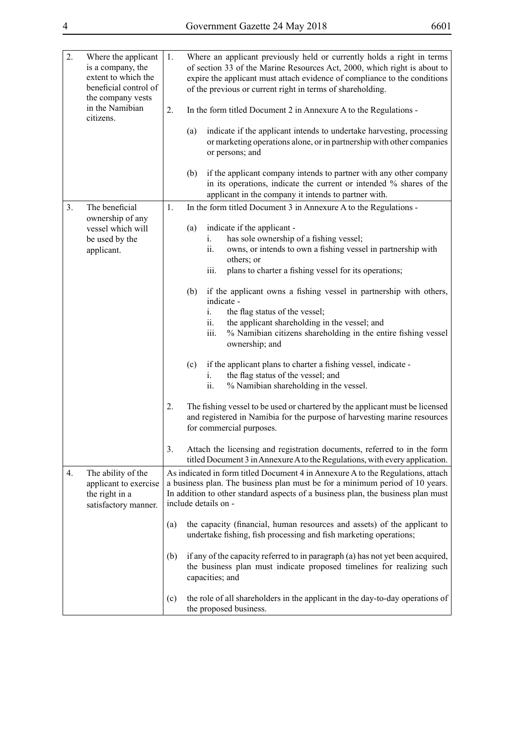| ۰. |  |
|----|--|
|----|--|

| 2.             | Where the applicant<br>is a company, the<br>extent to which the<br>beneficial control of<br>the company vests<br>in the Namibian<br>citizens. | 1.<br>2. | Where an applicant previously held or currently holds a right in terms<br>of section 33 of the Marine Resources Act, 2000, which right is about to<br>expire the applicant must attach evidence of compliance to the conditions<br>of the previous or current right in terms of shareholding.<br>In the form titled Document 2 in Annexure A to the Regulations -<br>indicate if the applicant intends to undertake harvesting, processing<br>(a)<br>or marketing operations alone, or in partnership with other companies |
|----------------|-----------------------------------------------------------------------------------------------------------------------------------------------|----------|----------------------------------------------------------------------------------------------------------------------------------------------------------------------------------------------------------------------------------------------------------------------------------------------------------------------------------------------------------------------------------------------------------------------------------------------------------------------------------------------------------------------------|
|                |                                                                                                                                               |          | or persons; and                                                                                                                                                                                                                                                                                                                                                                                                                                                                                                            |
|                |                                                                                                                                               |          | (b)<br>if the applicant company intends to partner with any other company<br>in its operations, indicate the current or intended % shares of the<br>applicant in the company it intends to partner with.                                                                                                                                                                                                                                                                                                                   |
| 3 <sub>1</sub> | The beneficial                                                                                                                                | 1.       | In the form titled Document 3 in Annexure A to the Regulations -                                                                                                                                                                                                                                                                                                                                                                                                                                                           |
|                | ownership of any<br>vessel which will<br>be used by the<br>applicant.                                                                         |          | indicate if the applicant -<br>(a)<br>has sole ownership of a fishing vessel;<br>i.<br>ii.<br>owns, or intends to own a fishing vessel in partnership with<br>others; or<br>plans to charter a fishing vessel for its operations;<br>iii.                                                                                                                                                                                                                                                                                  |
|                |                                                                                                                                               |          | if the applicant owns a fishing vessel in partnership with others,<br>(b)<br>indicate -<br>the flag status of the vessel;<br>i.<br>the applicant shareholding in the vessel; and<br>ii.<br>iii.<br>% Namibian citizens shareholding in the entire fishing vessel<br>ownership; and                                                                                                                                                                                                                                         |
|                |                                                                                                                                               |          | if the applicant plans to charter a fishing vessel, indicate -<br>(c)<br>the flag status of the vessel; and<br>i.<br>ii.<br>% Namibian shareholding in the vessel.                                                                                                                                                                                                                                                                                                                                                         |
|                |                                                                                                                                               | 2.       | The fishing vessel to be used or chartered by the applicant must be licensed<br>and registered in Namibia for the purpose of harvesting marine resources<br>for commercial purposes.                                                                                                                                                                                                                                                                                                                                       |
|                |                                                                                                                                               | 3.       | Attach the licensing and registration documents, referred to in the form<br>titled Document 3 in Annexure A to the Regulations, with every application.                                                                                                                                                                                                                                                                                                                                                                    |
| 4.             | The ability of the<br>applicant to exercise<br>the right in a<br>satisfactory manner.                                                         |          | As indicated in form titled Document 4 in Annexure A to the Regulations, attach<br>a business plan. The business plan must be for a minimum period of 10 years.<br>In addition to other standard aspects of a business plan, the business plan must<br>include details on -                                                                                                                                                                                                                                                |
|                |                                                                                                                                               | (a)      | the capacity (financial, human resources and assets) of the applicant to<br>undertake fishing, fish processing and fish marketing operations;                                                                                                                                                                                                                                                                                                                                                                              |
|                |                                                                                                                                               | (b)      | if any of the capacity referred to in paragraph (a) has not yet been acquired,<br>the business plan must indicate proposed timelines for realizing such<br>capacities; and                                                                                                                                                                                                                                                                                                                                                 |
|                |                                                                                                                                               | (c)      | the role of all shareholders in the applicant in the day-to-day operations of<br>the proposed business.                                                                                                                                                                                                                                                                                                                                                                                                                    |

 $\overline{a}$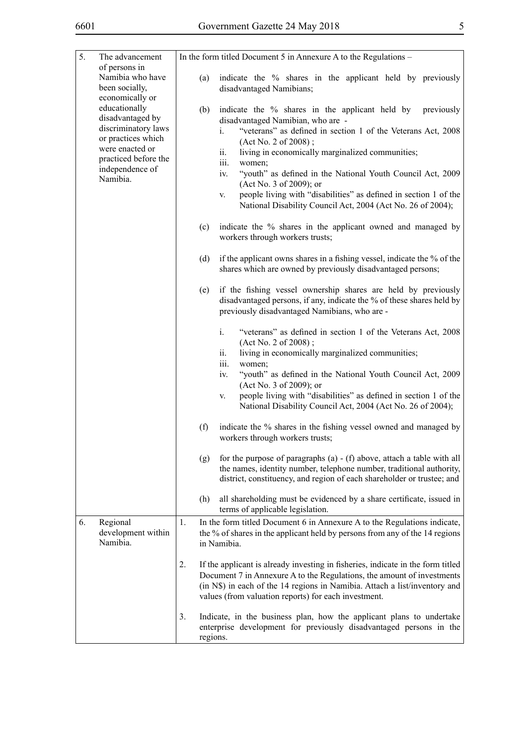| 5. | The advancement                                                                                                                                          | In the form titled Document 5 in Annexure A to the Regulations – |                                                                                                                                                                                                                                                                                                                                                                                                                                                                                                                       |  |  |  |  |
|----|----------------------------------------------------------------------------------------------------------------------------------------------------------|------------------------------------------------------------------|-----------------------------------------------------------------------------------------------------------------------------------------------------------------------------------------------------------------------------------------------------------------------------------------------------------------------------------------------------------------------------------------------------------------------------------------------------------------------------------------------------------------------|--|--|--|--|
|    | of persons in<br>Namibia who have<br>been socially,<br>economically or                                                                                   | (a)                                                              | indicate the % shares in the applicant held by previously<br>disadvantaged Namibians;                                                                                                                                                                                                                                                                                                                                                                                                                                 |  |  |  |  |
|    | educationally<br>disadvantaged by<br>discriminatory laws<br>or practices which<br>were enacted or<br>practiced before the<br>independence of<br>Namibia. | (b)                                                              | indicate the % shares in the applicant held by<br>previously<br>disadvantaged Namibian, who are -<br>"veterans" as defined in section 1 of the Veterans Act, 2008<br>i.<br>(Act No. 2 of 2008);<br>ii.<br>living in economically marginalized communities;<br>iii.<br>women;<br>"youth" as defined in the National Youth Council Act, 2009<br>iv.<br>(Act No. 3 of 2009); or<br>people living with "disabilities" as defined in section 1 of the<br>V.<br>National Disability Council Act, 2004 (Act No. 26 of 2004); |  |  |  |  |
|    |                                                                                                                                                          | (c)                                                              | indicate the % shares in the applicant owned and managed by<br>workers through workers trusts;                                                                                                                                                                                                                                                                                                                                                                                                                        |  |  |  |  |
|    |                                                                                                                                                          | (d)                                                              | if the applicant owns shares in a fishing vessel, indicate the % of the<br>shares which are owned by previously disadvantaged persons;                                                                                                                                                                                                                                                                                                                                                                                |  |  |  |  |
|    |                                                                                                                                                          | (e)                                                              | if the fishing vessel ownership shares are held by previously<br>disadvantaged persons, if any, indicate the % of these shares held by<br>previously disadvantaged Namibians, who are -                                                                                                                                                                                                                                                                                                                               |  |  |  |  |
|    |                                                                                                                                                          |                                                                  | "veterans" as defined in section 1 of the Veterans Act, 2008<br>i.<br>(Act No. 2 of 2008);<br>living in economically marginalized communities;<br>Ĥ.<br>iii.<br>women;<br>"youth" as defined in the National Youth Council Act, 2009<br>iv.<br>(Act No. 3 of 2009); or<br>people living with "disabilities" as defined in section 1 of the                                                                                                                                                                            |  |  |  |  |
|    |                                                                                                                                                          |                                                                  | V.<br>National Disability Council Act, 2004 (Act No. 26 of 2004);                                                                                                                                                                                                                                                                                                                                                                                                                                                     |  |  |  |  |
|    |                                                                                                                                                          | (f)                                                              | indicate the % shares in the fishing vessel owned and managed by<br>workers through workers trusts;                                                                                                                                                                                                                                                                                                                                                                                                                   |  |  |  |  |
|    |                                                                                                                                                          | (g)                                                              | for the purpose of paragraphs $(a) - (f)$ above, attach a table with all<br>the names, identity number, telephone number, traditional authority,<br>district, constituency, and region of each shareholder or trustee; and                                                                                                                                                                                                                                                                                            |  |  |  |  |
|    |                                                                                                                                                          | (h)                                                              | all shareholding must be evidenced by a share certificate, issued in<br>terms of applicable legislation.                                                                                                                                                                                                                                                                                                                                                                                                              |  |  |  |  |
| 6. | Regional<br>development within<br>Namibia.                                                                                                               | 1.                                                               | In the form titled Document 6 in Annexure A to the Regulations indicate,<br>the % of shares in the applicant held by persons from any of the 14 regions<br>in Namibia.                                                                                                                                                                                                                                                                                                                                                |  |  |  |  |
|    |                                                                                                                                                          | 2.                                                               | If the applicant is already investing in fisheries, indicate in the form titled<br>Document 7 in Annexure A to the Regulations, the amount of investments<br>(in N\$) in each of the 14 regions in Namibia. Attach a list/inventory and<br>values (from valuation reports) for each investment.                                                                                                                                                                                                                       |  |  |  |  |
|    |                                                                                                                                                          | 3.                                                               | Indicate, in the business plan, how the applicant plans to undertake<br>enterprise development for previously disadvantaged persons in the<br>regions.                                                                                                                                                                                                                                                                                                                                                                |  |  |  |  |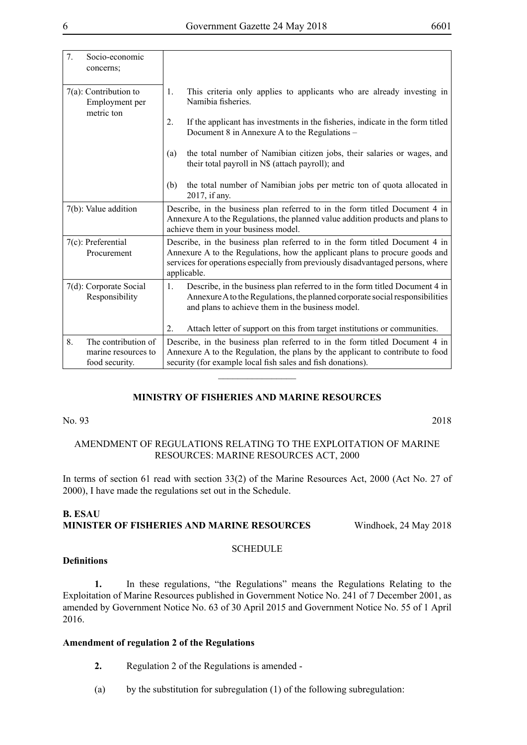| 7. | Socio-economic<br>concerns;                                  |                                                                                                                                                                                                        |                                                                                                                                                                                                                                                              |  |  |  |  |
|----|--------------------------------------------------------------|--------------------------------------------------------------------------------------------------------------------------------------------------------------------------------------------------------|--------------------------------------------------------------------------------------------------------------------------------------------------------------------------------------------------------------------------------------------------------------|--|--|--|--|
|    | $7(a)$ : Contribution to<br>Employment per<br>metric ton     | 1.                                                                                                                                                                                                     | This criteria only applies to applicants who are already investing in<br>Namibia fisheries.                                                                                                                                                                  |  |  |  |  |
|    |                                                              | $2_{\cdot}$                                                                                                                                                                                            | If the applicant has investments in the fisheries, indicate in the form titled<br>Document 8 in Annexure A to the Regulations –                                                                                                                              |  |  |  |  |
|    |                                                              | (a)                                                                                                                                                                                                    | the total number of Namibian citizen jobs, their salaries or wages, and<br>their total payroll in N\$ (attach payroll); and                                                                                                                                  |  |  |  |  |
|    |                                                              | (b)                                                                                                                                                                                                    | the total number of Namibian jobs per metric ton of quota allocated in<br>2017, if any.                                                                                                                                                                      |  |  |  |  |
|    | 7(b): Value addition                                         | Describe, in the business plan referred to in the form titled Document 4 in<br>Annexure A to the Regulations, the planned value addition products and plans to<br>achieve them in your business model. |                                                                                                                                                                                                                                                              |  |  |  |  |
|    | 7(c): Preferential<br>Procurement                            |                                                                                                                                                                                                        | Describe, in the business plan referred to in the form titled Document 4 in<br>Annexure A to the Regulations, how the applicant plans to procure goods and<br>services for operations especially from previously disadvantaged persons, where<br>applicable. |  |  |  |  |
|    | 7(d): Corporate Social<br>Responsibility                     | 1.                                                                                                                                                                                                     | Describe, in the business plan referred to in the form titled Document 4 in<br>Annexure A to the Regulations, the planned corporate social responsibilities<br>and plans to achieve them in the business model.                                              |  |  |  |  |
|    |                                                              | 2.                                                                                                                                                                                                     | Attach letter of support on this from target institutions or communities.                                                                                                                                                                                    |  |  |  |  |
| 8. | The contribution of<br>marine resources to<br>food security. |                                                                                                                                                                                                        | Describe, in the business plan referred to in the form titled Document 4 in<br>Annexure A to the Regulation, the plans by the applicant to contribute to food<br>security (for example local fish sales and fish donations).                                 |  |  |  |  |
|    |                                                              |                                                                                                                                                                                                        |                                                                                                                                                                                                                                                              |  |  |  |  |

#### **MINISTRY OF FISHERIES AND MARINE RESOURCES**

No. 93 2018

#### AMENDMENT OF REGULATIONS RELATING TO THE EXPLOITATION OF MARINE RESOURCES: MARINE RESOURCES ACT, 2000

In terms of section 61 read with section 33(2) of the Marine Resources Act, 2000 (Act No. 27 of 2000), I have made the regulations set out in the Schedule.

#### **B. ESAU MINISTER OF FISHERIES AND MARINE RESOURCES** Windhoek, 24 May 2018

#### **Definitions**

**1.** In these regulations, "the Regulations" means the Regulations Relating to the Exploitation of Marine Resources published in Government Notice No. 241 of 7 December 2001, as amended by Government Notice No. 63 of 30 April 2015 and Government Notice No. 55 of 1 April 2016.

**SCHEDULE** 

#### **Amendment of regulation 2 of the Regulations**

- **2.** Regulation 2 of the Regulations is amended -
- (a) by the substitution for subregulation (1) of the following subregulation: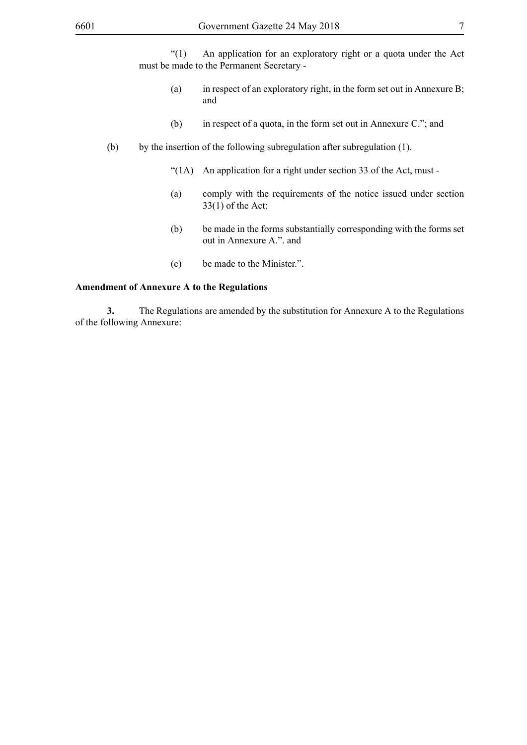"(1) An application for an exploratory right or a quota under the Act must be made to the Permanent Secretary -

- (a) in respect of an exploratory right, in the form set out in Annexure B; and
- (b) in respect of a quota, in the form set out in Annexure C."; and
- (b) by the insertion of the following subregulation after subregulation (1).
	- "(1A) An application for a right under section 33 of the Act, must -
	- (a) comply with the requirements of the notice issued under section 33(1) of the Act;
	- (b) be made in the forms substantially corresponding with the forms set out in Annexure A.". and
	- (c) be made to the Minister.".

#### **Amendment of Annexure A to the Regulations**

**3.** The Regulations are amended by the substitution for Annexure A to the Regulations of the following Annexure: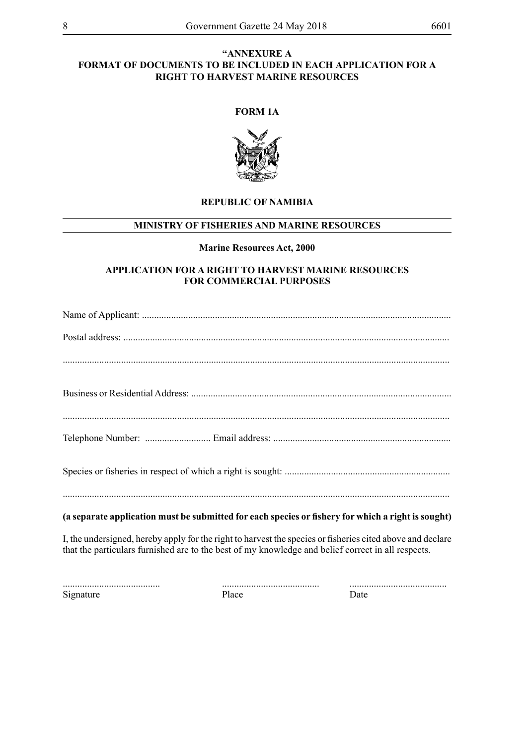#### **"ANNEXURE A FORMAT OF DOCUMENTS TO BE INCLUDED IN EACH APPLICATION FOR A RIGHT TO HARVEST MARINE RESOURCES**

#### **FORM 1A**



#### **REPUBLIC OF NAMIBIA**

#### **MINISTRY OF FISHERIES AND MARINE RESOURCES**

#### **Marine Resources Act, 2000**

#### **APPLICATION FOR A RIGHT TO HARVEST MARINE RESOURCES FOR COMMERCIAL PURPOSES**

| (a separate application must be submitted for each species or fishery for which a right is sought)                                                                                                               |
|------------------------------------------------------------------------------------------------------------------------------------------------------------------------------------------------------------------|
| I, the undersigned, hereby apply for the right to harvest the species or fisheries cited above and declare<br>that the particulars furnished are to the best of my knowledge and belief correct in all respects. |

Signature Place Date

........................................ ........................................ ........................................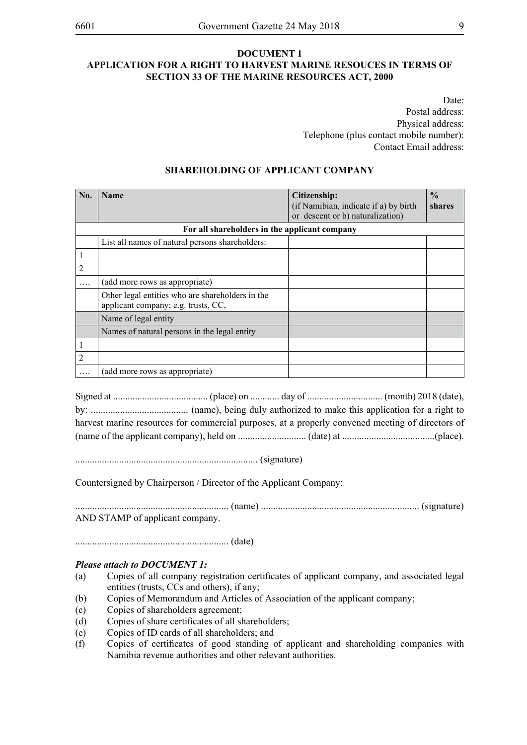#### **DOCUMENT 1 APPLICATION FOR A RIGHT TO HARVEST MARINE RESOUCES IN TERMS OF SECTION 33 OF THE MARINE RESOURCES ACT, 2000**

Date: Postal address: Physical address: Telephone (plus contact mobile number): Contact Email address:

| No.            | <b>Name</b>                                                                             | Citizenship:<br>(if Namibian, indicate if a) by birth<br>or descent or b) naturalization) | $\frac{0}{0}$<br>shares |
|----------------|-----------------------------------------------------------------------------------------|-------------------------------------------------------------------------------------------|-------------------------|
|                | For all shareholders in the applicant company                                           |                                                                                           |                         |
|                | List all names of natural persons shareholders:                                         |                                                                                           |                         |
|                |                                                                                         |                                                                                           |                         |
| 2              |                                                                                         |                                                                                           |                         |
|                | (add more rows as appropriate)                                                          |                                                                                           |                         |
|                | Other legal entities who are shareholders in the<br>applicant company; e.g. trusts, CC, |                                                                                           |                         |
|                | Name of legal entity                                                                    |                                                                                           |                         |
|                | Names of natural persons in the legal entity                                            |                                                                                           |                         |
|                |                                                                                         |                                                                                           |                         |
| $\overline{2}$ |                                                                                         |                                                                                           |                         |
|                | (add more rows as appropriate)                                                          |                                                                                           |                         |

#### **SHAREHOLDING OF APPLICANT COMPANY**

Signed at ....................................... (place) on ............ day of ............................... (month) 2018 (date), by: ........................................ (name), being duly authorized to make this application for a right to harvest marine resources for commercial purposes, at a properly convened meeting of directors of (name of the applicant company), held on ............................ (date) at ......................................(place).

........................................................................... (signature)

Countersigned by Chairperson / Director of the Applicant Company:

............................................................... (name) ................................................................. (signature) AND STAMP of applicant company.

............................................................... (date)

#### *Please attach to DOCUMENT 1:*

- (a) Copies of all company registration certificates of applicant company, and associated legal entities (trusts, CCs and others), if any;
- (b) Copies of Memorandum and Articles of Association of the applicant company;
- (c) Copies of shareholders agreement;
- (d) Copies of share certificates of all shareholders;
- (e) Copies of ID cards of all shareholders; and
- (f) Copies of certificates of good standing of applicant and shareholding companies with Namibia revenue authorities and other relevant authorities.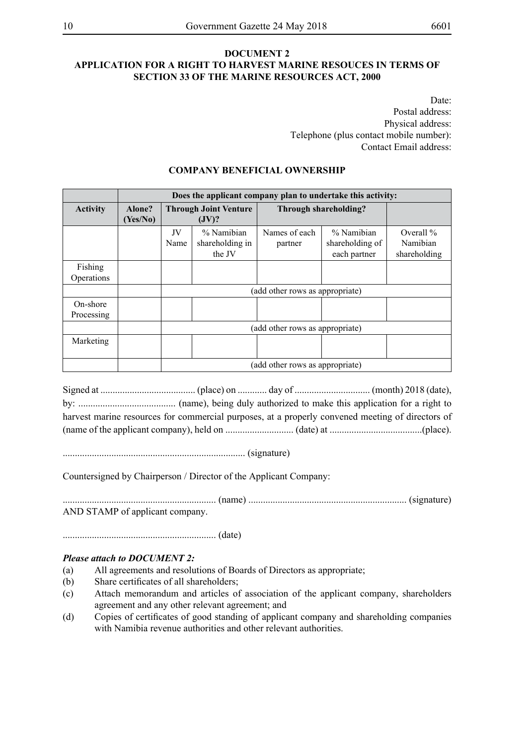#### **DOCUMENT 2 APPLICATION FOR A RIGHT TO HARVEST MARINE RESOUCES IN TERMS OF SECTION 33 OF THE MARINE RESOURCES ACT, 2000**

Date: Postal address: Physical address: Telephone (plus contact mobile number): Contact Email address:

#### **COMPANY BENEFICIAL OWNERSHIP**

|                                     |                    | Does the applicant company plan to undertake this activity: |                                         |                                 |                                               |                                         |  |  |
|-------------------------------------|--------------------|-------------------------------------------------------------|-----------------------------------------|---------------------------------|-----------------------------------------------|-----------------------------------------|--|--|
| <b>Activity</b>                     | Alone?<br>(Yes/No) | <b>Through Joint Venture</b><br>(JV)?                       |                                         | Through shareholding?           |                                               |                                         |  |  |
|                                     |                    | JV<br>Name                                                  | % Namibian<br>shareholding in<br>the JV | Names of each<br>partner        | % Namibian<br>shareholding of<br>each partner | Overall $%$<br>Namibian<br>shareholding |  |  |
| Fishing<br><i><b>Operations</b></i> |                    |                                                             |                                         |                                 |                                               |                                         |  |  |
|                                     |                    |                                                             |                                         | (add other rows as appropriate) |                                               |                                         |  |  |
| On-shore<br>Processing              |                    |                                                             |                                         |                                 |                                               |                                         |  |  |
|                                     |                    | (add other rows as appropriate)                             |                                         |                                 |                                               |                                         |  |  |
| Marketing                           |                    |                                                             |                                         |                                 |                                               |                                         |  |  |
|                                     |                    |                                                             |                                         | (add other rows as appropriate) |                                               |                                         |  |  |

Signed at ....................................... (place) on ............ day of ............................... (month) 2018 (date), by: ........................................ (name), being duly authorized to make this application for a right to harvest marine resources for commercial purposes, at a properly convened meeting of directors of (name of the applicant company), held on ............................ (date) at ......................................(place).

........................................................................... (signature)

Countersigned by Chairperson / Director of the Applicant Company:

............................................................... (name) ................................................................. (signature) AND STAMP of applicant company.

............................................................... (date)

#### *Please attach to DOCUMENT 2:*

- (a) All agreements and resolutions of Boards of Directors as appropriate;
- (b) Share certificates of all shareholders;
- (c) Attach memorandum and articles of association of the applicant company, shareholders agreement and any other relevant agreement; and
- (d) Copies of certificates of good standing of applicant company and shareholding companies with Namibia revenue authorities and other relevant authorities.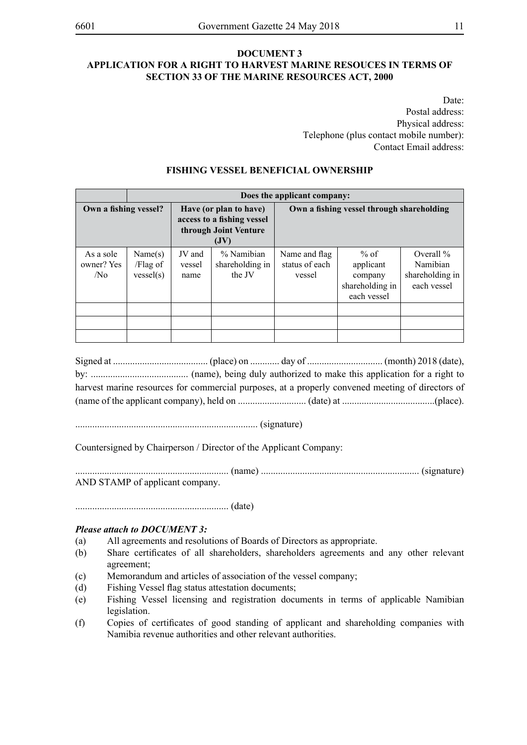#### **DOCUMENT 3 APPLICATION FOR A RIGHT TO HARVEST MARINE RESOUCES IN TERMS OF SECTION 33 OF THE MARINE RESOURCES ACT, 2000**

Date: Postal address: Physical address: Telephone (plus contact mobile number): Contact Email address:

|                                            |                                  | Does the applicant company: |                                                                                     |                                           |                                                                |                                                            |  |  |  |  |
|--------------------------------------------|----------------------------------|-----------------------------|-------------------------------------------------------------------------------------|-------------------------------------------|----------------------------------------------------------------|------------------------------------------------------------|--|--|--|--|
| Own a fishing vessel?                      |                                  |                             | Have (or plan to have)<br>access to a fishing vessel<br>through Joint Venture<br>JV | Own a fishing vessel through shareholding |                                                                |                                                            |  |  |  |  |
| As a sole<br>owner? Yes<br>/N <sub>0</sub> | Name(s)<br>/Flag of<br>vessel(s) |                             | % Namibian<br>shareholding in<br>the JV                                             | Name and flag<br>status of each<br>vessel | % of<br>applicant<br>company<br>shareholding in<br>each vessel | Overall $\%$<br>Namibian<br>shareholding in<br>each vessel |  |  |  |  |
|                                            |                                  |                             |                                                                                     |                                           |                                                                |                                                            |  |  |  |  |
|                                            |                                  |                             |                                                                                     |                                           |                                                                |                                                            |  |  |  |  |
|                                            |                                  |                             |                                                                                     |                                           |                                                                |                                                            |  |  |  |  |

#### **FISHING VESSEL BENEFICIAL OWNERSHIP**

Signed at ....................................... (place) on ............ day of ............................... (month) 2018 (date), by: ........................................ (name), being duly authorized to make this application for a right to harvest marine resources for commercial purposes, at a properly convened meeting of directors of (name of the applicant company), held on ............................ (date) at ......................................(place).

........................................................................... (signature)

Countersigned by Chairperson / Director of the Applicant Company:

............................................................... (name) ................................................................. (signature) AND STAMP of applicant company.

............................................................... (date)

#### *Please attach to DOCUMENT 3:*

- (a) All agreements and resolutions of Boards of Directors as appropriate.
- (b) Share certificates of all shareholders, shareholders agreements and any other relevant agreement;
- (c) Memorandum and articles of association of the vessel company;
- (d) Fishing Vessel flag status attestation documents;
- (e) Fishing Vessel licensing and registration documents in terms of applicable Namibian legislation.
- (f) Copies of certificates of good standing of applicant and shareholding companies with Namibia revenue authorities and other relevant authorities.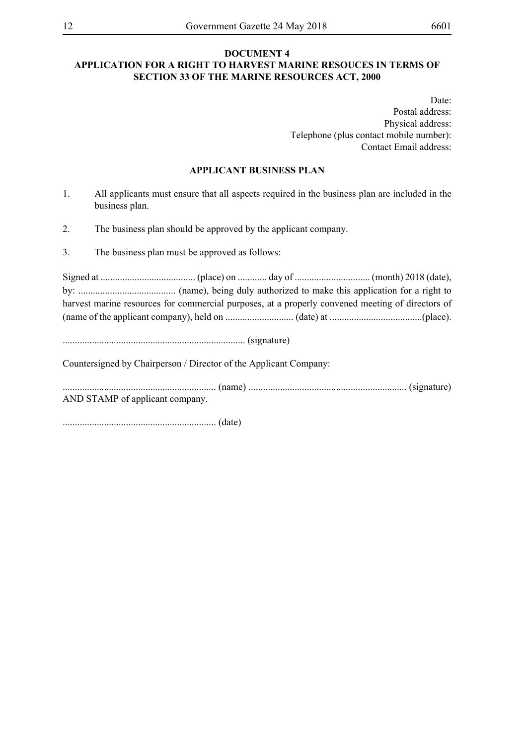#### **DOCUMENT 4 APPLICATION FOR A RIGHT TO HARVEST MARINE RESOUCES IN TERMS OF SECTION 33 OF THE MARINE RESOURCES ACT, 2000**

Date: Postal address: Physical address: Telephone (plus contact mobile number): Contact Email address:

#### **APPLICANT BUSINESS PLAN**

- 1. All applicants must ensure that all aspects required in the business plan are included in the business plan.
- 2. The business plan should be approved by the applicant company.
- 3. The business plan must be approved as follows:

Signed at ....................................... (place) on ............ day of ............................... (month) 2018 (date), by: ........................................ (name), being duly authorized to make this application for a right to harvest marine resources for commercial purposes, at a properly convened meeting of directors of (name of the applicant company), held on ............................ (date) at ......................................(place).

........................................................................... (signature)

Countersigned by Chairperson / Director of the Applicant Company:

............................................................... (name) ................................................................. (signature) AND STAMP of applicant company.

............................................................... (date)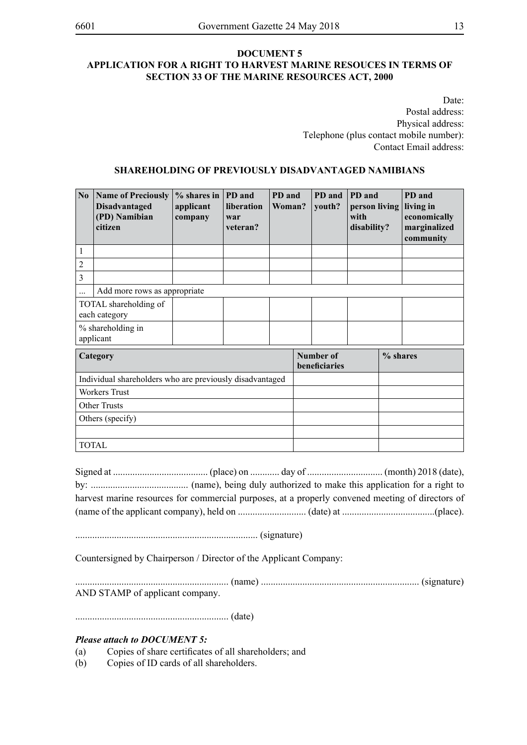#### **DOCUMENT 5 APPLICATION FOR A RIGHT TO HARVEST MARINE RESOUCES IN TERMS OF SECTION 33 OF THE MARINE RESOURCES ACT, 2000**

Date: Postal address: Physical address: Telephone (plus contact mobile number): Contact Email address:

#### **SHAREHOLDING OF PREVIOUSLY DISADVANTAGED NAMIBIANS**

| N <sub>0</sub>      | <b>Name of Preciously</b><br><b>Disadvantaged</b><br>(PD) Namibian<br>citizen | $%$ shares in<br>applicant<br>company | <b>PD</b> and<br>liberation<br>war<br>veteran? | PD and<br>Woman? | PD and<br>youth?           | PD and<br>person living<br>with<br>disability? | PD and<br>living in<br>economically<br>marginalized<br>community |
|---------------------|-------------------------------------------------------------------------------|---------------------------------------|------------------------------------------------|------------------|----------------------------|------------------------------------------------|------------------------------------------------------------------|
| 1                   |                                                                               |                                       |                                                |                  |                            |                                                |                                                                  |
| $\overline{c}$      |                                                                               |                                       |                                                |                  |                            |                                                |                                                                  |
| 3                   |                                                                               |                                       |                                                |                  |                            |                                                |                                                                  |
|                     | Add more rows as appropriate                                                  |                                       |                                                |                  |                            |                                                |                                                                  |
|                     | TOTAL shareholding of<br>each category                                        |                                       |                                                |                  |                            |                                                |                                                                  |
|                     | % shareholding in<br>applicant                                                |                                       |                                                |                  |                            |                                                |                                                                  |
| Category            |                                                                               |                                       |                                                |                  | Number of<br>beneficiaries |                                                | % shares                                                         |
|                     | Individual shareholders who are previously disadvantaged                      |                                       |                                                |                  |                            |                                                |                                                                  |
|                     | <b>Workers Trust</b>                                                          |                                       |                                                |                  |                            |                                                |                                                                  |
| <b>Other Trusts</b> |                                                                               |                                       |                                                |                  |                            |                                                |                                                                  |
|                     | Others (specify)                                                              |                                       |                                                |                  |                            |                                                |                                                                  |
|                     |                                                                               |                                       |                                                |                  |                            |                                                |                                                                  |
|                     | <b>TOTAL</b>                                                                  |                                       |                                                |                  |                            |                                                |                                                                  |

Signed at ....................................... (place) on ............ day of ............................... (month) 2018 (date), by: ........................................ (name), being duly authorized to make this application for a right to harvest marine resources for commercial purposes, at a properly convened meeting of directors of (name of the applicant company), held on ............................ (date) at ......................................(place).

........................................................................... (signature)

Countersigned by Chairperson / Director of the Applicant Company:

............................................................... (name) ................................................................. (signature) AND STAMP of applicant company.

............................................................... (date)

#### *Please attach to DOCUMENT 5:*

- (a) Copies of share certificates of all shareholders; and
- (b) Copies of ID cards of all shareholders.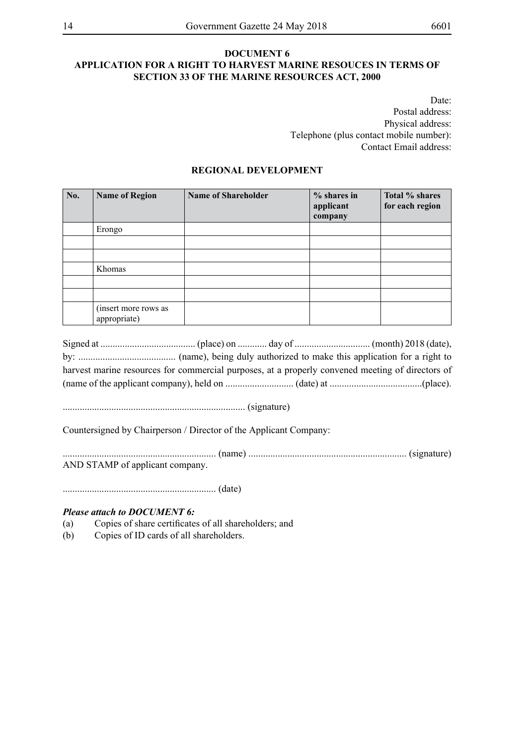#### **DOCUMENT 6 APPLICATION FOR A RIGHT TO HARVEST MARINE RESOUCES IN TERMS OF SECTION 33 OF THE MARINE RESOURCES ACT, 2000**

Date: Postal address: Physical address: Telephone (plus contact mobile number): Contact Email address:

#### **REGIONAL DEVELOPMENT**

| No. | <b>Name of Region</b>                | <b>Name of Shareholder</b> | $%$ shares in<br>applicant<br>company | Total % shares<br>for each region |
|-----|--------------------------------------|----------------------------|---------------------------------------|-----------------------------------|
|     | Erongo                               |                            |                                       |                                   |
|     |                                      |                            |                                       |                                   |
|     |                                      |                            |                                       |                                   |
|     | Khomas                               |                            |                                       |                                   |
|     |                                      |                            |                                       |                                   |
|     |                                      |                            |                                       |                                   |
|     | (insert more rows as<br>appropriate) |                            |                                       |                                   |

|  | harvest marine resources for commercial purposes, at a properly convened meeting of directors of |
|--|--------------------------------------------------------------------------------------------------|
|  |                                                                                                  |

........................................................................... (signature)

Countersigned by Chairperson / Director of the Applicant Company:

............................................................... (name) ................................................................. (signature) AND STAMP of applicant company.

............................................................... (date)

#### *Please attach to DOCUMENT 6:*

- (a) Copies of share certificates of all shareholders; and
- (b) Copies of ID cards of all shareholders.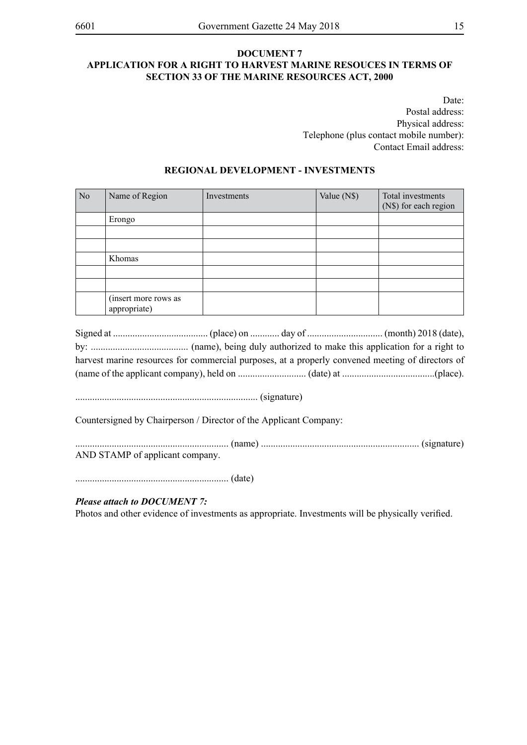#### **DOCUMENT 7 APPLICATION FOR A RIGHT TO HARVEST MARINE RESOUCES IN TERMS OF SECTION 33 OF THE MARINE RESOURCES ACT, 2000**

Date: Postal address: Physical address: Telephone (plus contact mobile number): Contact Email address:

#### **REGIONAL DEVELOPMENT - INVESTMENTS**

| N <sub>o</sub> | Name of Region                       | Investments | Value (N\$) | Total investments<br>(N\$) for each region |
|----------------|--------------------------------------|-------------|-------------|--------------------------------------------|
|                | Erongo                               |             |             |                                            |
|                |                                      |             |             |                                            |
|                |                                      |             |             |                                            |
|                | Khomas                               |             |             |                                            |
|                |                                      |             |             |                                            |
|                |                                      |             |             |                                            |
|                | (insert more rows as<br>appropriate) |             |             |                                            |

|  | harvest marine resources for commercial purposes, at a properly convened meeting of directors of |
|--|--------------------------------------------------------------------------------------------------|
|  |                                                                                                  |

........................................................................... (signature)

Countersigned by Chairperson / Director of the Applicant Company:

............................................................... (name) ................................................................. (signature) AND STAMP of applicant company.

............................................................... (date)

#### *Please attach to DOCUMENT 7:*

Photos and other evidence of investments as appropriate. Investments will be physically verified.